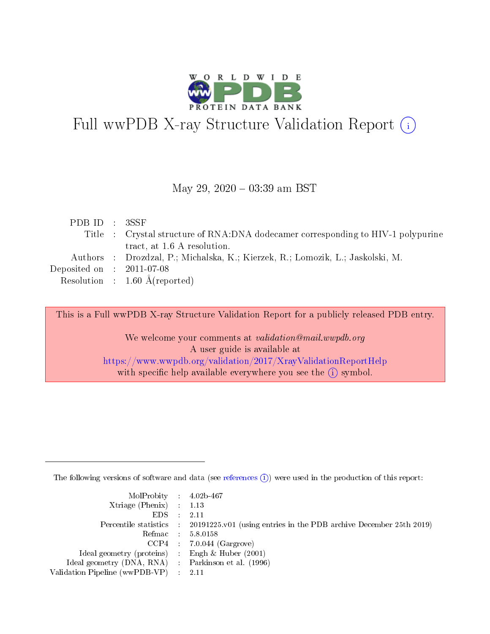

# Full wwPDB X-ray Structure Validation Report (i)

#### May 29,  $2020 - 03:39$  am BST

| PDB ID : 3SSF               |                                                                                  |
|-----------------------------|----------------------------------------------------------------------------------|
|                             | Title : Crystal structure of RNA:DNA dodecamer corresponding to HIV-1 polypurine |
|                             | tract, at 1.6 A resolution.                                                      |
|                             | Authors : Drozdzal, P.; Michalska, K.; Kierzek, R.; Lomozik, L.; Jaskolski, M.   |
| Deposited on : $2011-07-08$ |                                                                                  |
|                             | Resolution : $1.60 \text{ Å}$ (reported)                                         |
|                             |                                                                                  |

This is a Full wwPDB X-ray Structure Validation Report for a publicly released PDB entry.

We welcome your comments at validation@mail.wwpdb.org A user guide is available at <https://www.wwpdb.org/validation/2017/XrayValidationReportHelp> with specific help available everywhere you see the  $(i)$  symbol.

The following versions of software and data (see [references](https://www.wwpdb.org/validation/2017/XrayValidationReportHelp#references)  $(i)$ ) were used in the production of this report:

| $MolProbability$ 4.02b-467<br>Xtriage (Phenix) $: 1.13$ |                                                                                                     |
|---------------------------------------------------------|-----------------------------------------------------------------------------------------------------|
| $EDS$ :                                                 | -2.11<br>Percentile statistics : 20191225.v01 (using entries in the PDB archive December 25th 2019) |
|                                                         | Refmac : 5.8.0158                                                                                   |
|                                                         | $CCP4$ : 7.0.044 (Gargrove)                                                                         |
| Ideal geometry (proteins) : Engh $\&$ Huber (2001)      |                                                                                                     |
| Ideal geometry (DNA, RNA) : Parkinson et al. (1996)     |                                                                                                     |
| Validation Pipeline (wwPDB-VP) :                        | -2.11                                                                                               |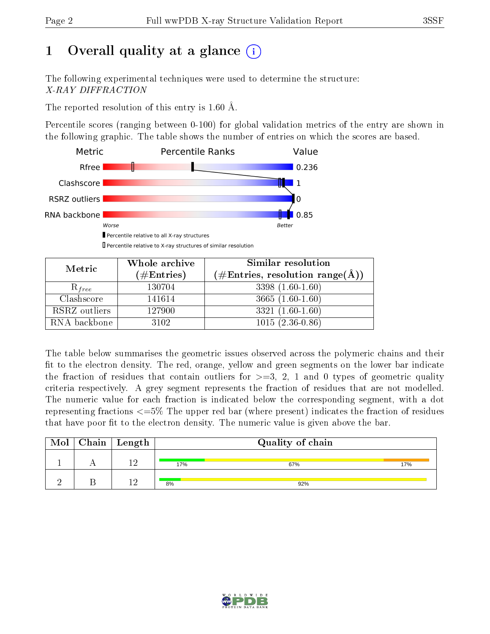# 1 [O](https://www.wwpdb.org/validation/2017/XrayValidationReportHelp#overall_quality)verall quality at a glance  $(i)$

The following experimental techniques were used to determine the structure: X-RAY DIFFRACTION

The reported resolution of this entry is 1.60 Å.

Percentile scores (ranging between 0-100) for global validation metrics of the entry are shown in the following graphic. The table shows the number of entries on which the scores are based.



Percentile relative to X-ray structures of similar resolution

| Metric        | Whole archive          | Similar resolution                                                |  |  |
|---------------|------------------------|-------------------------------------------------------------------|--|--|
|               | $(\#\mathrm{Entries})$ | $(\# \text{Entries}, \text{ resolution } \text{range}(\text{A}))$ |  |  |
| $R_{free}$    | 130704                 | $3398(1.60-1.60)$                                                 |  |  |
| Clashscore    | 141614                 | $3665(1.60-1.60)$                                                 |  |  |
| RSRZ outliers | 127900                 | $3321(1.60-1.60)$                                                 |  |  |
| RNA backbone  | 3102                   | $1015(2.36-0.86)$                                                 |  |  |

The table below summarises the geometric issues observed across the polymeric chains and their fit to the electron density. The red, orange, yellow and green segments on the lower bar indicate the fraction of residues that contain outliers for  $\geq=3$ , 2, 1 and 0 types of geometric quality criteria respectively. A grey segment represents the fraction of residues that are not modelled. The numeric value for each fraction is indicated below the corresponding segment, with a dot representing fractions  $\epsilon = 5\%$  The upper red bar (where present) indicates the fraction of residues that have poor fit to the electron density. The numeric value is given above the bar.

|  | $\text{Mol} \mid \text{Chain} \mid \text{Length}$ |     | Quality of chain |     |
|--|---------------------------------------------------|-----|------------------|-----|
|  | 1 ና                                               | 17% | 67%              | 17% |
|  | 16                                                | 8%  | 92%              |     |

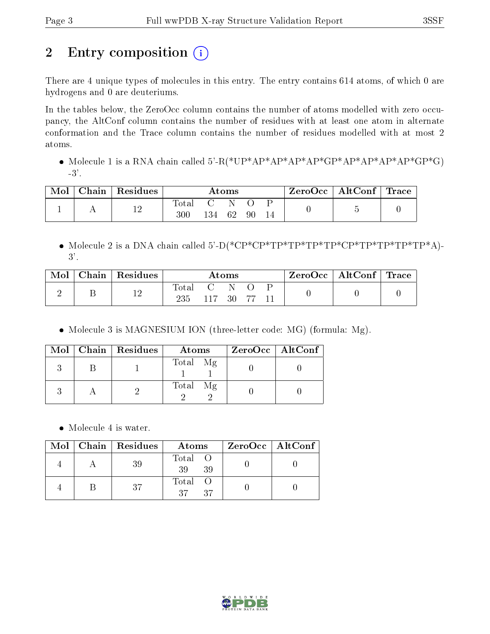# 2 Entry composition (i)

There are 4 unique types of molecules in this entry. The entry contains 614 atoms, of which 0 are hydrogens and 0 are deuteriums.

In the tables below, the ZeroOcc column contains the number of atoms modelled with zero occupancy, the AltConf column contains the number of residues with at least one atom in alternate conformation and the Trace column contains the number of residues modelled with at most 2 atoms.

• Molecule 1 is a RNA chain called  $5 - R$ <sup>\*</sup>UP\*AP\*AP\*AP\*AP\*AP\*AP\*AP\*AP\*GP\*G)  $-3'$ .

| Mol | Chain   Residues | Atoms        |     |    | ZeroOcc | $\vert$ AltConf $\vert$ Trace |  |  |  |
|-----|------------------|--------------|-----|----|---------|-------------------------------|--|--|--|
|     | 1 ຕ<br>⊥∠        | Total<br>300 | 134 | 62 | 90      |                               |  |  |  |

 Molecule 2 is a DNA chain called 5'-D(\*CP\*CP\*TP\*TP\*TP\*TP\*CP\*TP\*TP\*TP\*TP\*A)- 3'.

| Mol | Chain | $\,$ Residues | $\rm{Atoms}$       |                     |           | ZeroOcc∣ | $\vert$ AltConf $\vert$ Trace |  |  |  |
|-----|-------|---------------|--------------------|---------------------|-----------|----------|-------------------------------|--|--|--|
|     |       | 12            | $\rm Total$<br>235 | $\mathbf{C}$<br>117 | -N<br>-30 |          |                               |  |  |  |

• Molecule 3 is MAGNESIUM ION (three-letter code: MG) (formula: Mg).

|  | Mol   Chain   Residues | Atoms    | $ZeroOcc \   \$ AltConf |
|--|------------------------|----------|-------------------------|
|  |                        | Total Mg |                         |
|  |                        | Total Mg |                         |

• Molecule 4 is water.

|  | $Mol$   Chain   Residues | Atoms                | ZeroOcc   AltConf |
|--|--------------------------|----------------------|-------------------|
|  | 39                       | Total O<br>39<br>39  |                   |
|  | 37                       | Total O<br>27<br>-37 |                   |

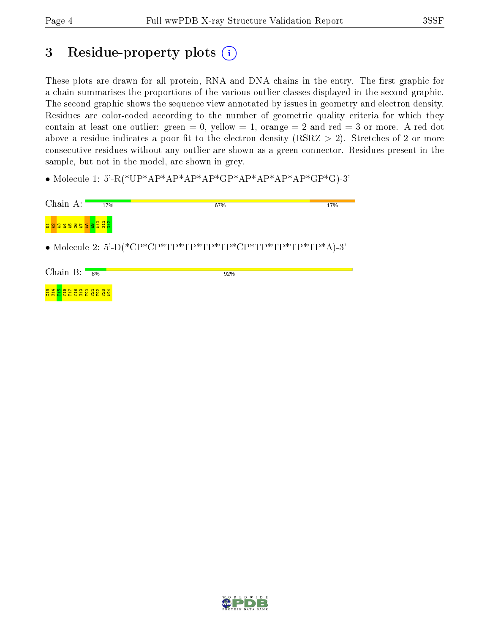នី ទី<mark>ដី</mark> ដី ដី ដី ទី ដី ដី ដី ដី ដី

## 3 Residue-property plots  $(i)$

These plots are drawn for all protein, RNA and DNA chains in the entry. The first graphic for a chain summarises the proportions of the various outlier classes displayed in the second graphic. The second graphic shows the sequence view annotated by issues in geometry and electron density. Residues are color-coded according to the number of geometric quality criteria for which they contain at least one outlier: green  $= 0$ , yellow  $= 1$ , orange  $= 2$  and red  $= 3$  or more. A red dot above a residue indicates a poor fit to the electron density (RSRZ  $> 2$ ). Stretches of 2 or more consecutive residues without any outlier are shown as a green connector. Residues present in the sample, but not in the model, are shown in grey.

• Molecule 1: 5'-R(\*UP\*AP\*AP\*AP\*AP\*GP\*AP\*AP\*AP\*AP\*GP\*G)-3'

| Chain A:                     | 17% | 67%                                                        | 17% |
|------------------------------|-----|------------------------------------------------------------|-----|
| Baaaaea <mark>aa</mark> adad |     |                                                            |     |
|                              |     | • Molecule 2: 5'-D(*CP*CP*TP*TP*TP*TP*CP*TP*TP*TP*TP*A)-3' |     |
| Chain $B:$                   | 8%  | 92%                                                        |     |

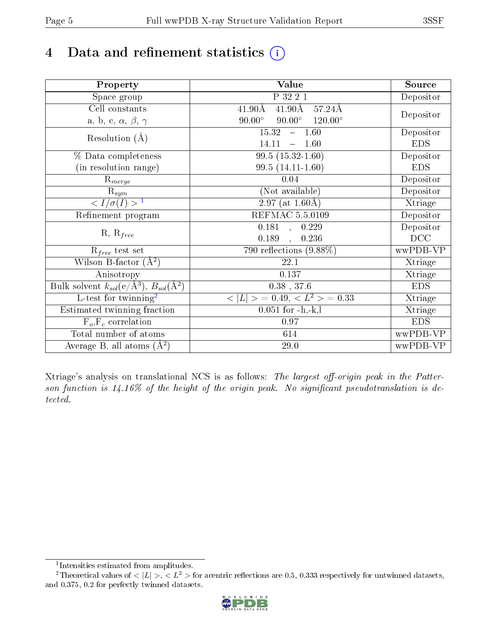# 4 Data and refinement statistics  $(i)$

| Property                                                             | Value                                                       | Source     |
|----------------------------------------------------------------------|-------------------------------------------------------------|------------|
| $\overline{S}$ pace group                                            | P 32 2 1                                                    | Depositor  |
| Cell constants                                                       | $41.90\text{\AA}$<br>$57.24\text{\AA}$<br>$41.90\text{\AA}$ |            |
| a, b, c, $\alpha$ , $\beta$ , $\gamma$                               | $90.00^\circ$<br>$90.00^\circ$<br>$120.00^{\circ}$          | Depositor  |
|                                                                      | 15.32<br>$-1.60$                                            | Depositor  |
| Resolution $(A)$                                                     | 14.11<br>$-1.60$                                            | <b>EDS</b> |
| % Data completeness                                                  | $99.5(15.32-1.60)$                                          | Depositor  |
| (in resolution range)                                                | $99.5(14.11-1.60)$                                          | <b>EDS</b> |
| $R_{merge}$                                                          | 0.04                                                        | Depositor  |
| $\mathrm{R}_{sym}$                                                   | (Not available)                                             | Depositor  |
| $\sqrt{I/\sigma}(I) > 1$                                             | 2.97 (at $1.60\text{\AA}$ )                                 | Xtriage    |
| Refinement program                                                   | <b>REFMAC 5.5.0109</b>                                      | Depositor  |
|                                                                      | 0.181, 0.229                                                | Depositor  |
| $R, R_{free}$                                                        | 0.189<br>0.236<br>$\ddot{\phantom{a}}$                      | DCC        |
| $R_{free}$ test set                                                  | $\overline{790}$ reflections $(9.88\%)$                     | wwPDB-VP   |
| Wilson B-factor $(A^2)$                                              | 22.1                                                        | Xtriage    |
| Anisotropy                                                           | 0.137                                                       | Xtriage    |
| Bulk solvent $k_{sol}(e/\mathring{A}^3)$ , $B_{sol}(\mathring{A}^2)$ | $0.38$ , $37.6$                                             | <b>EDS</b> |
| L-test for twinning <sup>2</sup>                                     | $< L >$ = 0.49, $< L2$ = 0.33                               | Xtriage    |
| Estimated twinning fraction                                          | $0.051$ for $-h,-k,l$                                       | Xtriage    |
| $F_o, F_c$ correlation                                               | 0.97                                                        | <b>EDS</b> |
| Total number of atoms                                                | 614                                                         | wwPDB-VP   |
| Average B, all atoms $(A^2)$                                         | 29.0                                                        | wwPDB-VP   |

Xtriage's analysis on translational NCS is as follows: The largest off-origin peak in the Patterson function is  $14.16\%$  of the height of the origin peak. No significant pseudotranslation is detected.

<sup>&</sup>lt;sup>2</sup>Theoretical values of  $\langle |L| \rangle$ ,  $\langle L^2 \rangle$  for acentric reflections are 0.5, 0.333 respectively for untwinned datasets, and 0.375, 0.2 for perfectly twinned datasets.



<span id="page-4-1"></span><span id="page-4-0"></span><sup>1</sup> Intensities estimated from amplitudes.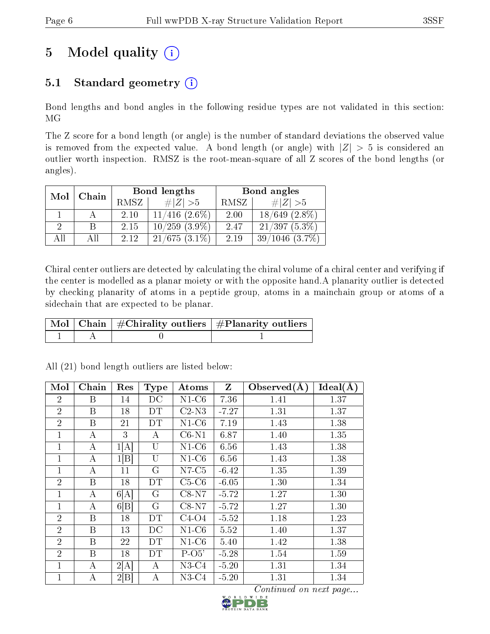# 5 Model quality  $(i)$

## 5.1 Standard geometry  $(i)$

Bond lengths and bond angles in the following residue types are not validated in this section: MG

The Z score for a bond length (or angle) is the number of standard deviations the observed value is removed from the expected value. A bond length (or angle) with  $|Z| > 5$  is considered an outlier worth inspection. RMSZ is the root-mean-square of all Z scores of the bond lengths (or angles).

| Mol<br>Chain |  |      | Bond lengths       | Bond angles |                      |  |
|--------------|--|------|--------------------|-------------|----------------------|--|
|              |  | RMSZ | $\# Z >5$          | RMSZ        | $\ Z\  > 5$          |  |
|              |  | 2.10 | $11/416$ $(2.6\%)$ | 2.00        | $(2.8\%)$<br>18/649  |  |
|              |  | 2.15 | $10/259$ $(3.9\%)$ | 2.47        | $21/397(5.3\%)$      |  |
| A 11         |  | 2.12 | $21/675(3.1\%)$    | 2.19        | $(3.7\%)$<br>39/1046 |  |

Chiral center outliers are detected by calculating the chiral volume of a chiral center and verifying if the center is modelled as a planar moiety or with the opposite hand.A planarity outlier is detected by checking planarity of atoms in a peptide group, atoms in a mainchain group or atoms of a sidechain that are expected to be planar.

|  | $\mid$ Mol $\mid$ Chain $\mid$ #Chirality outliers $\mid$ #Planarity outliers $'$ |
|--|-----------------------------------------------------------------------------------|
|  |                                                                                   |

| Mol            | Chain            | Res  | <b>Type</b> | Atoms   | Z       | Observed $(A)$ | Ideal(A) |
|----------------|------------------|------|-------------|---------|---------|----------------|----------|
| $\overline{2}$ | В                | 14   | DС          | $N1-C6$ | 7.36    | 1.41           | 1.37     |
| $\overline{2}$ | B                | 18   | DT          | $C2-N3$ | $-7.27$ | 1.31           | 1.37     |
| $\overline{2}$ | B                | 21   | DT          | $N1-C6$ | 7.19    | 1.43           | 1.38     |
| 1              | А                | 3    | А           | $C6-N1$ | 6.87    | 1.40           | 1.35     |
| $\mathbf 1$    | $\boldsymbol{A}$ | 1[A] | U           | $N1-C6$ | 6.56    | 1.43           | 1.38     |
| 1              | $\boldsymbol{A}$ | 1[B] | U           | $N1-C6$ | 6.56    | 1.43           | 1.38     |
| $\mathbf 1$    | А                | 11   | G           | $N7-C5$ | $-6.42$ | 1.35           | 1.39     |
| $\overline{2}$ | B                | 18   | DT          | $C5-C6$ | $-6.05$ | 1.30           | 1.34     |
| 1              | A                | 6[A] | G           | $C8-N7$ | $-5.72$ | 1.27           | 1.30     |
| $\mathbf 1$    | A                | 6 B  | G           | $C8-N7$ | $-5.72$ | 1.27           | 1.30     |
| $\overline{2}$ | B                | 18   | DT          | $C4-O4$ | $-5.52$ | 1.18           | 1.23     |
| $\overline{2}$ | B                | 13   | $_{\rm DC}$ | $N1-C6$ | 5.52    | 1.40           | 1.37     |
| $\overline{2}$ | B                | 22   | DΤ          | $N1-C6$ | 5.40    | 1.42           | 1.38     |
| $\overline{2}$ | B                | 18   | DT          | $P-O5'$ | $-5.28$ | 1.54           | 1.59     |
| 1              | A                | 2[A] | А           | $N3-C4$ | $-5.20$ | 1.31           | 1.34     |
| 1              | А                | 2 B  | А           | $N3-C4$ | $-5.20$ | 1.31           | 1.34     |

All (21) bond length outliers are listed below:

Continued on next page...

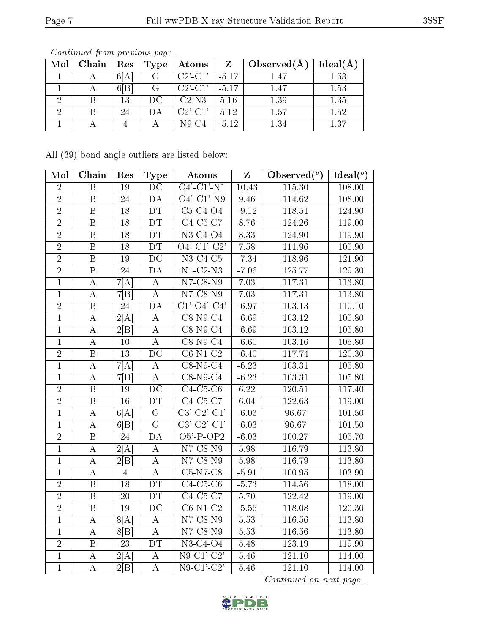| Mol      | Chain | Res | Type | Atoms         |         | $\mid \mathrm{Observed}(\mathrm{A})$ | Ideal(A) |
|----------|-------|-----|------|---------------|---------|--------------------------------------|----------|
|          |       | 6 A |      | $C2'$ -C1'    | $-5.17$ | 1.47                                 | 1.53     |
|          |       | 6 B | G    | $C2'$ - $C1'$ | $-5.17$ | 1.47                                 | 1.53     |
| ച        |       | 13  | DC.  | $C2-N3$       | 5.16    | 1.39                                 | 1.35     |
| $\Omega$ |       | 24  | DА   | $C2'$ - $C1'$ | 5.12    | $1.57\,$                             | 1.52     |
|          |       |     |      | $N9-C4$       | $-5.12$ | $1.34\,$                             | 1.37     |

Continued from previous page...

All (39) bond angle outliers are listed below:

| Mol            | Chain                   | Res             | <b>Type</b>             | <b>Atoms</b>                           | Z        | Observed $(\overline{\overline{\circ}})$ | Ideal $\binom{\sigma}{0}$ |
|----------------|-------------------------|-----------------|-------------------------|----------------------------------------|----------|------------------------------------------|---------------------------|
| $\overline{2}$ | $\overline{\mathrm{B}}$ | $\overline{19}$ | $\overline{\text{DC}}$  | $O4'$ -C1'-N1                          | 10.43    | 115.30                                   | 108.00                    |
| $\sqrt{2}$     | $\overline{B}$          | 24              | DA                      | $O4'$ -C1'-N9                          | 9.46     | 114.62                                   | 108.00                    |
| $\overline{2}$ | B                       | 18              | DT                      | $C5-C4-O4$                             | $-9.12$  | 118.51                                   | 124.90                    |
| $\overline{2}$ | $\, {\bf B}$            | 18              | DT                      | $C4-C5-C7$                             | 8.76     | 124.26                                   | 119.00                    |
| $\overline{2}$ | $\, {\bf B}$            | 18              | DT                      | $N3-C4-O4$                             | 8.33     | 124.90                                   | 119.90                    |
| $\overline{2}$ | $\overline{\mathbf{B}}$ | 18              | $\overline{DT}$         | $\overline{O4'$ - $C1'$ - $C2'$        | 7.58     | 111.96                                   | 105.90                    |
| $\overline{2}$ | $\overline{B}$          | 19              | $\overline{DC}$         | $N3-C4-C5$                             | $-7.34$  | 118.96                                   | 121.90                    |
| $\overline{2}$ | $\overline{\mathrm{B}}$ | 24              | $\overline{DA}$         | $N1-C2-N3$                             | $-7.06$  | 125.77                                   | 129.30                    |
| $\overline{1}$ | $\boldsymbol{A}$        | 7[A]            | $\boldsymbol{A}$        | $N7-C8-N9$                             | 7.03     | 117.31                                   | 113.80                    |
| $\mathbf{1}$   | $\boldsymbol{A}$        | 7 B             | $\bf{A}$                | $N7-C8-N9$                             | 7.03     | 117.31                                   | 113.80                    |
| $\overline{2}$ | $\overline{B}$          | $\overline{24}$ | DA                      | $\overline{C1'\text{-}O4'\text{-}C4'}$ | $-6.97$  | 103.13                                   | 110.10                    |
| $\mathbf{1}$   | $\boldsymbol{A}$        | 2[A]            | $\boldsymbol{A}$        | $C8-N9-C4$                             | $-6.69$  | 103.12                                   | 105.80                    |
| $\overline{1}$ | $\overline{A}$          | 2 B             | $\overline{A}$          | $C8-N9-C4$                             | $-6.69$  | 103.12                                   | 105.80                    |
| $\overline{1}$ | $\boldsymbol{A}$        | $10\,$          | $\boldsymbol{A}$        | $C8-N9-C4$                             | $-6.60$  | 103.16                                   | 105.80                    |
| $\overline{2}$ | $\, {\bf B}$            | 13              | $\overline{DC}$         | $C6-N1-C2$                             | $-6.40$  | 117.74                                   | 120.30                    |
| $\overline{1}$ | $\boldsymbol{A}$        | 7[A]            | $\overline{\rm A}$      | $C8-N9-C4$                             | $-6.23$  | 103.31                                   | 105.80                    |
| $\mathbf{1}$   | $\boldsymbol{A}$        | 7 B             | $\boldsymbol{A}$        | $\overline{\text{C8-N9-C4}}$           | $-6.23$  | 103.31                                   | 105.80                    |
| $\overline{2}$ | $\overline{\mathrm{B}}$ | 19              | $\overline{\text{DC}}$  | $C4-C5-C6$                             | 6.22     | 120.51                                   | 117.40                    |
| $\overline{2}$ | $\boldsymbol{B}$        | 16              | DT                      | $C4-C5-C7$                             | $6.04\,$ | 122.63                                   | 119.00                    |
| $\overline{1}$ | $\overline{\rm A}$      | 6[A]            | $\overline{\mathrm{G}}$ | $\overline{\text{C3'-C2'-C1'}}$        | $-6.03$  | 96.67                                    | $101.\overline{50}$       |
| $\mathbf{1}$   | $\bf{A}$                | 6 B             | $\overline{G}$          | $\overline{\text{C3'-C2'-C1'}}$        | $-6.03$  | 96.67                                    | 101.50                    |
| $\overline{2}$ | $\overline{B}$          | 24              | DA                      | $O5'$ -P-OP2                           | $-6.03$  | 100.27                                   | 105.70                    |
| $\overline{1}$ | $\overline{\rm A}$      | 2[A]            | $\overline{A}$          | $N7-C8-N9$                             | $5.98\,$ | 116.79                                   | 113.80                    |
| $\mathbf{1}$   | $\boldsymbol{A}$        | 2 B             | $\boldsymbol{A}$        | $N7-C8-N9$                             | 5.98     | 116.79                                   | 113.80                    |
| $\mathbf 1$    | $\boldsymbol{A}$        | $\overline{4}$  | $\overline{A}$          | $C5-N7-C8$                             | $-5.91$  | 100.95                                   | 103.90                    |
| $\overline{2}$ | $\overline{B}$          | 18              | $\overline{DT}$         | $C4-C5-C6$                             | $-5.73$  | 114.56                                   | 118.00                    |
| $\overline{2}$ | $\overline{B}$          | 20              | DT                      | $C4-C5-C7$                             | 5.70     | 122.42                                   | 119.00                    |
| $\overline{2}$ | $\overline{B}$          | $\overline{19}$ | $\overline{\text{DC}}$  | $\overline{\text{C6-N1-C2}}$           | $-5.56$  | 118.08                                   | 120.30                    |
| $\mathbf{1}$   | $\boldsymbol{A}$        | 8[A]            | $\boldsymbol{A}$        | $N7-C8-N9$                             | 5.53     | 116.56                                   | 113.80                    |
| $\overline{1}$ | $\boldsymbol{A}$        | 8 B             | $\boldsymbol{A}$        | $N7-C8-N9$                             | 5.53     | 116.56                                   | 113.80                    |
| $\sqrt{2}$     | $\, {\bf B}$            | 23              | <b>DT</b>               | $N3-C4-O4$                             | 5.48     | 123.19                                   | 119.90                    |
| $\overline{1}$ | $\bf{A}$                | 2[A]            | A                       | $\overline{\text{N9-C1'-C2'}}$         | 5.46     | 121.10                                   | 114.00                    |
| $\overline{1}$ | $\overline{A}$          | 2 B             | $\overline{A}$          | $N9-C1$ ' $C2$ '                       | 5.46     | 121.10                                   | 114.00                    |

Continued on next page...

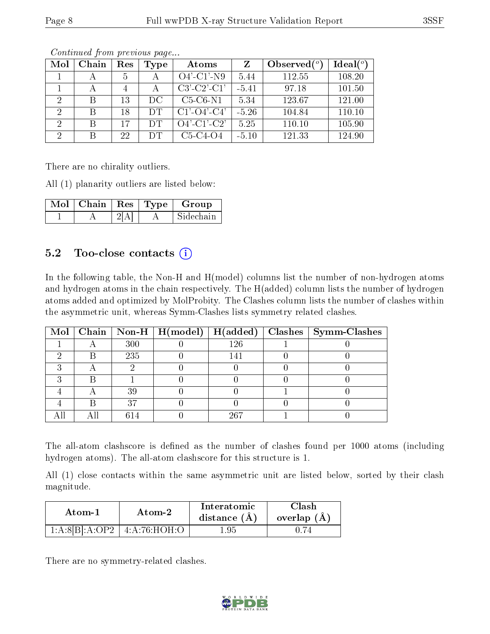| Mol            | Chain        | Res | Type | Atoms                 | Z       | Observed $\binom{o}{c}$ | Ideal $(°)$ |
|----------------|--------------|-----|------|-----------------------|---------|-------------------------|-------------|
|                |              | 5   |      | $O4'$ -C1'-N9         | 5.44    | 112.55                  | 108.20      |
|                | А            | 4   |      | $C3'-C2'-C1'$         | $-5.41$ | 97.18                   | 101.50      |
| $\overline{2}$ | B            | 13  | DC.  | $C5-C6-N1$            | 5.34    | 123.67                  | 121.00      |
| 2              | <sup>B</sup> | 18  | DT   | $C1'$ - $O4'$ - $C4'$ | $-5.26$ | 104.84                  | 110.10      |
| $\Omega$       | B            | 17  | DТ   | $O4'$ -C1'-C2'        | 5.25    | 110.10                  | 105.90      |
| $\overline{2}$ | B            | 22  | DT.  | $C5-C4-O4$            | $-5.10$ | 121.33                  | 124.90      |

Continued from previous page...

There are no chirality outliers.

All (1) planarity outliers are listed below:

| Mol | .   Chain   Res   Type |  | Group     |
|-----|------------------------|--|-----------|
|     |                        |  | Sidechain |

### $5.2$  Too-close contacts  $(i)$

In the following table, the Non-H and H(model) columns list the number of non-hydrogen atoms and hydrogen atoms in the chain respectively. The H(added) column lists the number of hydrogen atoms added and optimized by MolProbity. The Clashes column lists the number of clashes within the asymmetric unit, whereas Symm-Clashes lists symmetry related clashes.

|  |     |     | Mol   Chain   Non-H   H(model)   H(added)   Clashes   Symm-Clashes |
|--|-----|-----|--------------------------------------------------------------------|
|  | 300 | 126 |                                                                    |
|  | 235 |     |                                                                    |
|  |     |     |                                                                    |
|  |     |     |                                                                    |
|  | 39  |     |                                                                    |
|  |     |     |                                                                    |
|  |     | 967 |                                                                    |

The all-atom clashscore is defined as the number of clashes found per 1000 atoms (including hydrogen atoms). The all-atom clashscore for this structure is 1.

All (1) close contacts within the same asymmetric unit are listed below, sorted by their clash magnitude.

| Atom-2                             |  | Interatomic    | 7lash.        |
|------------------------------------|--|----------------|---------------|
| Atom-1                             |  | distance $(A)$ | overlap $(A)$ |
| $1:A:8[B].A:OP2 \mid 4:A:76:HOH:O$ |  | -95            |               |

There are no symmetry-related clashes.

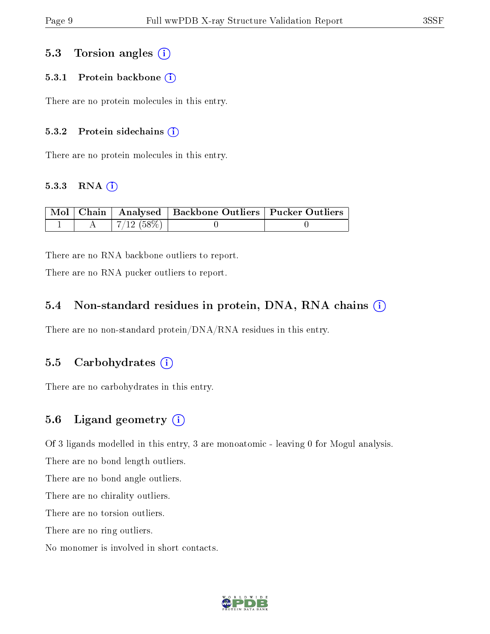#### 5.3 Torsion angles (i)

#### 5.3.1 Protein backbone  $(i)$

There are no protein molecules in this entry.

#### 5.3.2 Protein sidechains (i)

There are no protein molecules in this entry.

#### $5.3.3$  RNA  $(i)$

|  |               | Mol   Chain   Analysed   Backbone Outliers   Pucker Outliers |  |
|--|---------------|--------------------------------------------------------------|--|
|  | $+7/12(58\%)$ |                                                              |  |

There are no RNA backbone outliers to report.

There are no RNA pucker outliers to report.

#### 5.4 Non-standard residues in protein, DNA, RNA chains  $(i)$

There are no non-standard protein/DNA/RNA residues in this entry.

#### 5.5 Carbohydrates  $(i)$

There are no carbohydrates in this entry.

### 5.6 Ligand geometry  $(i)$

Of 3 ligands modelled in this entry, 3 are monoatomic - leaving 0 for Mogul analysis.

There are no bond length outliers.

There are no bond angle outliers.

There are no chirality outliers.

There are no torsion outliers.

There are no ring outliers.

No monomer is involved in short contacts.

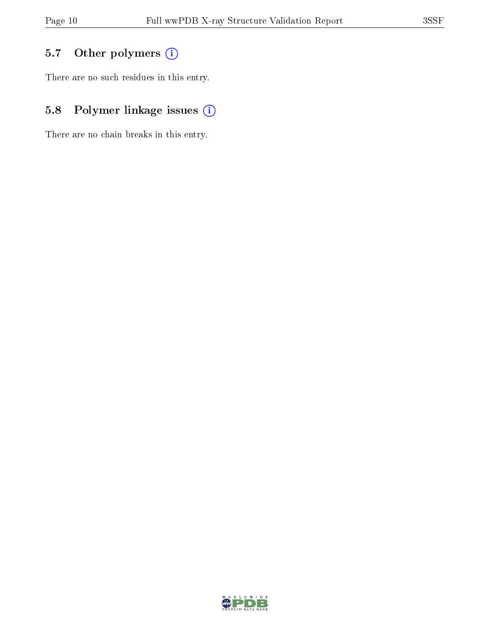## 5.7 [O](https://www.wwpdb.org/validation/2017/XrayValidationReportHelp#nonstandard_residues_and_ligands)ther polymers (i)

There are no such residues in this entry.

## 5.8 Polymer linkage issues (i)

There are no chain breaks in this entry.

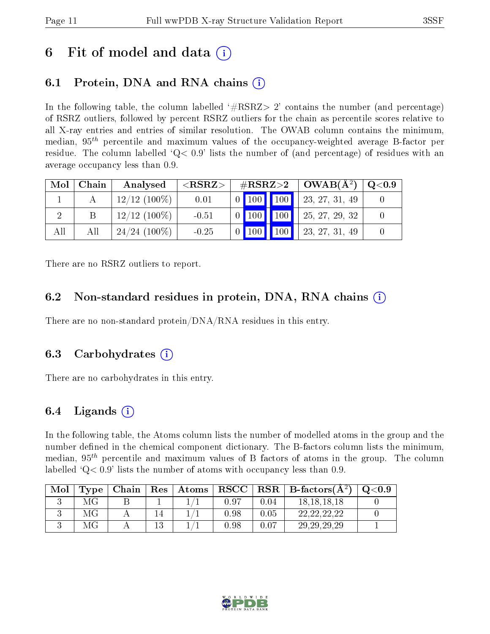## 6 Fit of model and data  $\left( \cdot \right)$

## 6.1 Protein, DNA and RNA chains (i)

In the following table, the column labelled  $#RSRZ>2'$  contains the number (and percentage) of RSRZ outliers, followed by percent RSRZ outliers for the chain as percentile scores relative to all X-ray entries and entries of similar resolution. The OWAB column contains the minimum, median,  $95<sup>th</sup>$  percentile and maximum values of the occupancy-weighted average B-factor per residue. The column labelled  $Q< 0.9$  lists the number of (and percentage) of residues with an average occupancy less than 0.9.

| Mol | Chain | Analysed        | ${ <\hspace{-1.5pt}{\mathrm{RSRZ}} \hspace{-1.5pt}>}$ |  |  |                                                                              | $\#RSRZ>2$   OWAB( $A^2$ )                                                                    | $\mid$ Q<0.9 |
|-----|-------|-----------------|-------------------------------------------------------|--|--|------------------------------------------------------------------------------|-----------------------------------------------------------------------------------------------|--------------|
|     |       | $12/12$ (100\%) | 0.01                                                  |  |  |                                                                              | $\begin{array}{ c c c c c c c c c } \hline 0 & 100 & 100 & 23, 27, 31, 49 \hline \end{array}$ |              |
|     |       | $12/12$ (100\%) | $-0.51$                                               |  |  |                                                                              | $\begin{array}{ c c c c c c c c c } \hline 0 & 100 & 100 & 25, 27, 29, 32 \hline \end{array}$ |              |
| All | Аll   | $24/24$ (100\%) | $-0.25$                                               |  |  | $\begin{array}{ c c c c c c c c c } \hline 0 & 100 & 100 \hline \end{array}$ | 23, 27, 31, 49                                                                                |              |

There are no RSRZ outliers to report.

### 6.2 Non-standard residues in protein, DNA, RNA chains (i)

There are no non-standard protein/DNA/RNA residues in this entry.

### 6.3 Carbohydrates (i)

There are no carbohydrates in this entry.

### 6.4 Ligands  $(i)$

In the following table, the Atoms column lists the number of modelled atoms in the group and the number defined in the chemical component dictionary. The B-factors column lists the minimum, median,  $95<sup>th</sup>$  percentile and maximum values of B factors of atoms in the group. The column labelled  $Q< 0.9$ ' lists the number of atoms with occupancy less than 0.9.

| Mol | Type <sub>1</sub> | Chain | $\pm$ Res $\pm$ | Atoms |      |          | $RSCC   RSR   B-factors(A2)$ | Q <sub>0.9</sub> |
|-----|-------------------|-------|-----------------|-------|------|----------|------------------------------|------------------|
|     |                   |       |                 |       | 0.97 | $0.04\,$ | 18.18.18.18                  |                  |
|     | ΜG                |       |                 |       | 0.98 | 0.05     |                              |                  |
|     |                   |       |                 |       | 0.98 | 0.07     | 29, 29, 29, 29               |                  |